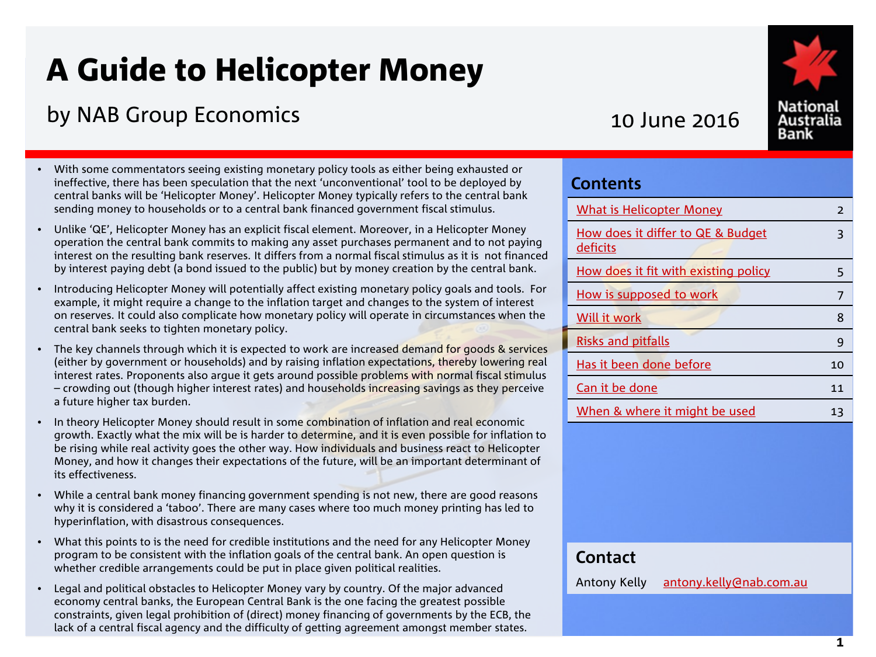# A Guide to Helicopter Money

# by NAB Group Economics 2016

- With some commentators seeing existing monetary policy tools as either being exhausted or ineffective, there has been speculation that the next 'unconventional' tool to be deployed by central banks will be 'Helicopter Money'. Helicopter Money typically refers to the central bank sending money to households or to a central bank financed government fiscal stimulus.
- Unlike 'QE', Helicopter Money has an explicit fiscal element. Moreover, in a Helicopter Money operation the central bank commits to making any asset purchases permanent and to not paying interest on the resulting bank reserves. It differs from a normal fiscal stimulus as it is not financed by interest paying debt (a bond issued to the public) but by money creation by the central bank.
- Introducing Helicopter Money will potentially affect existing monetary policy goals and tools. For example, it might require a change to the inflation target and changes to the system of interest on reserves. It could also complicate how monetary policy will operate in circumstances when the central bank seeks to tighten monetary policy.
- The key channels through which it is expected to work are increased demand for goods & services (either by government or households) and by raising inflation expectations, thereby lowering real interest rates. Proponents also argue it gets around possible problems with normal fiscal stimulus – crowding out (though higher interest rates) and households increasing savings as they perceive a future higher tax burden.
- In theory Helicopter Money should result in some combination of inflation and real economic growth. Exactly what the mix will be is harder to determine, and it is even possible for inflation to be rising while real activity goes the other way. How individuals and business react to Helicopter Money, and how it changes their expectations of the future, will be an important determinant of its effectiveness.
- While a central bank money financing government spending is not new, there are good reasons why it is considered a 'taboo'. There are many cases where too much money printing has led to hyperinflation, with disastrous consequences.
- What this points to is the need for credible institutions and the need for any Helicopter Money program to be consistent with the inflation goals of the central bank. An open question is whether credible arrangements could be put in place given political realities.
- Legal and political obstacles to Helicopter Money vary by country. Of the major advanced economy central banks, the European Central Bank is the one facing the greatest possible constraints, given legal prohibition of (direct) money financing of governments by the ECB, the lack of a central fiscal agency and the difficulty of getting agreement amongst member states.

| <b>What is Helicopter Money</b>               | $\overline{2}$ |
|-----------------------------------------------|----------------|
| How does it differ to QE & Budget<br>deficits | ξ              |
| How does it fit with existing policy          | 5              |
| How is supposed to work                       | 7              |
| Will it work                                  | 8              |
| <b>Risks and pitfalls</b>                     | 9              |
| Has it been done before                       | 10             |
| Can it be done                                | 11             |
| When & where it might be used                 | 13             |

## **Contact**

**Contents**

Antony Kelly [antony.kelly@nab.com.au](mailto:gerard.burg@nab.com.au)

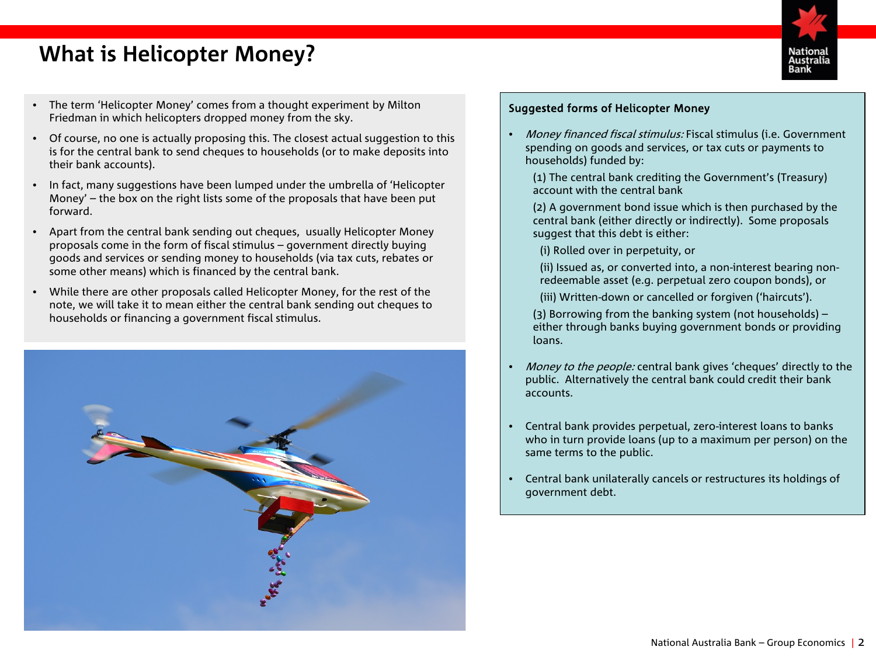# <span id="page-1-0"></span>**What is Helicopter Money?**



- The term 'Helicopter Money' comes from a thought experiment by Milton Friedman in which helicopters dropped money from the sky.
- Of course, no one is actually proposing this. The closest actual suggestion to this is for the central bank to send cheques to households (or to make deposits into their bank accounts).
- In fact, many suggestions have been lumped under the umbrella of 'Helicopter Money' – the box on the right lists some of the proposals that have been put forward.
- Apart from the central bank sending out cheques, usually Helicopter Money proposals come in the form of fiscal stimulus – government directly buying goods and services or sending money to households (via tax cuts, rebates or some other means) which is financed by the central bank.
- While there are other proposals called Helicopter Money, for the rest of the note, we will take it to mean either the central bank sending out cheques to households or financing a government fiscal stimulus.



#### Suggested forms of Helicopter Money

- Money financed fiscal stimulus: Fiscal stimulus (i.e. Government spending on goods and services, or tax cuts or payments to households) funded by:
	- (1) The central bank crediting the Government's (Treasury) account with the central bank
	- (2) A government bond issue which is then purchased by the central bank (either directly or indirectly). Some proposals suggest that this debt is either:
	- (i) Rolled over in perpetuity, or
	- (ii) Issued as, or converted into, a non-interest bearing nonredeemable asset (e.g. perpetual zero coupon bonds), or
	- (iii) Written-down or cancelled or forgiven ('haircuts').
	- (3) Borrowing from the banking system (not households) either through banks buying government bonds or providing loans.
- Money to the people: central bank gives 'cheques' directly to the public. Alternatively the central bank could credit their bank accounts.
- Central bank provides perpetual, zero-interest loans to banks who in turn provide loans (up to a maximum per person) on the same terms to the public.
- Central bank unilaterally cancels or restructures its holdings of government debt.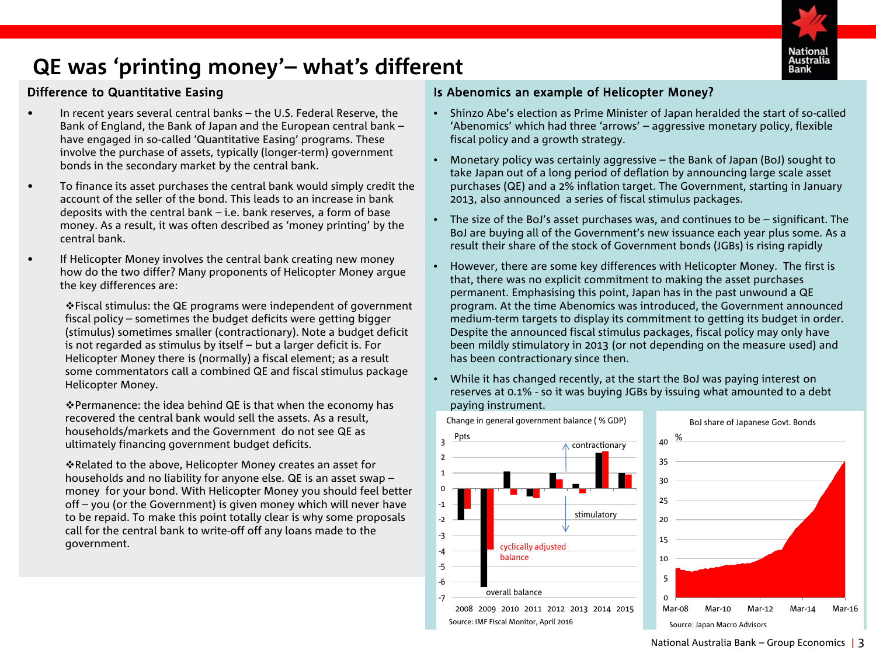

# <span id="page-2-0"></span>**QE was 'printing money'– what's different**

### Difference to Quantitative Easing

- In recent years several central banks the U.S. Federal Reserve, the Bank of England, the Bank of Japan and the European central bank – have engaged in so-called 'Quantitative Easing' programs. These involve the purchase of assets, typically (longer-term) government bonds in the secondary market by the central bank.
- To finance its asset purchases the central bank would simply credit the account of the seller of the bond. This leads to an increase in bank deposits with the central bank – i.e. bank reserves, a form of base money. As a result, it was often described as 'money printing' by the central bank.
- If Helicopter Money involves the central bank creating new money how do the two differ? Many proponents of Helicopter Money argue the key differences are:

Fiscal stimulus: the QE programs were independent of government fiscal policy – sometimes the budget deficits were getting bigger (stimulus) sometimes smaller (contractionary). Note a budget deficit is not regarded as stimulus by itself – but a larger deficit is. For Helicopter Money there is (normally) a fiscal element; as a result some commentators call a combined QE and fiscal stimulus package Helicopter Money.

Permanence: the idea behind QE is that when the economy has recovered the central bank would sell the assets. As a result, households/markets and the Government do not see QE as ultimately financing government budget deficits.

Related to the above, Helicopter Money creates an asset for households and no liability for anyone else. QE is an asset swap – money for your bond. With Helicopter Money you should feel better off – you (or the Government) is given money which will never have to be repaid. To make this point totally clear is why some proposals call for the central bank to write-off off any loans made to the government.

### Is Abenomics an example of Helicopter Money?

- Shinzo Abe's election as Prime Minister of Japan heralded the start of so-called 'Abenomics' which had three 'arrows' – aggressive monetary policy, flexible fiscal policy and a growth strategy.
- Monetary policy was certainly aggressive the Bank of Japan (BoJ) sought to take Japan out of a long period of deflation by announcing large scale asset purchases (QE) and a 2% inflation target. The Government, starting in January 2013, also announced a series of fiscal stimulus packages.
- The size of the BoJ's asset purchases was, and continues to be significant. The BoJ are buying all of the Government's new issuance each year plus some. As a result their share of the stock of Government bonds (JGBs) is rising rapidly
- However, there are some key differences with Helicopter Money. The first is that, there was no explicit commitment to making the asset purchases permanent. Emphasising this point, Japan has in the past unwound a QE program. At the time Abenomics was introduced, the Government announced medium-term targets to display its commitment to getting its budget in order. Despite the announced fiscal stimulus packages, fiscal policy may only have been mildly stimulatory in 2013 (or not depending on the measure used) and has been contractionary since then.
- While it has changed recently, at the start the BoJ was paying interest on reserves at 0.1% - so it was buying JGBs by issuing what amounted to a debt paying instrument.



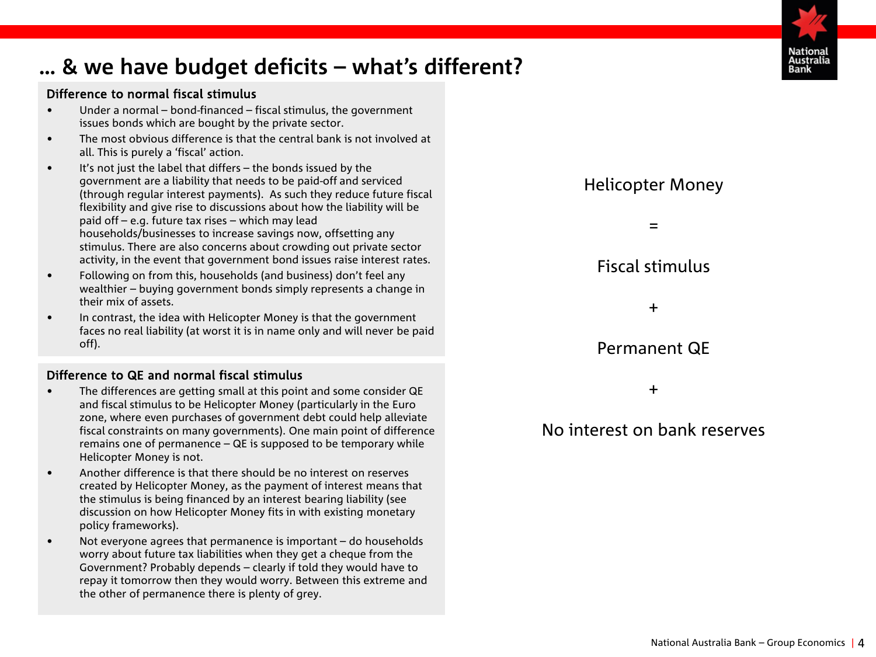# **… & we have budget deficits – what's different?**

### Difference to normal fiscal stimulus

- Under a normal bond-financed fiscal stimulus, the government issues bonds which are bought by the private sector.
- The most obvious difference is that the central bank is not involved at all. This is purely a 'fiscal' action.
- It's not just the label that differs the bonds issued by the government are a liability that needs to be paid-off and serviced (through regular interest payments). As such they reduce future fiscal flexibility and give rise to discussions about how the liability will be paid off – e.g. future tax rises – which may lead households/businesses to increase savings now, offsetting any stimulus. There are also concerns about crowding out private sector activity, in the event that government bond issues raise interest rates.
- Following on from this, households (and business) don't feel any wealthier – buying government bonds simply represents a change in their mix of assets.
- In contrast, the idea with Helicopter Money is that the government faces no real liability (at worst it is in name only and will never be paid off).

### Difference to QE and normal fiscal stimulus

- The differences are getting small at this point and some consider QE and fiscal stimulus to be Helicopter Money (particularly in the Euro zone, where even purchases of government debt could help alleviate fiscal constraints on many governments). One main point of difference remains one of permanence – QE is supposed to be temporary while Helicopter Money is not.
- Another difference is that there should be no interest on reserves created by Helicopter Money, as the payment of interest means that the stimulus is being financed by an interest bearing liability (see discussion on how Helicopter Money fits in with existing monetary policy frameworks).
- Not everyone agrees that permanence is important do households worry about future tax liabilities when they get a cheque from the Government? Probably depends – clearly if told they would have to repay it tomorrow then they would worry. Between this extreme and the other of permanence there is plenty of grey.



Helicopter Money

# Permanent QE

+

# No interest on bank reserves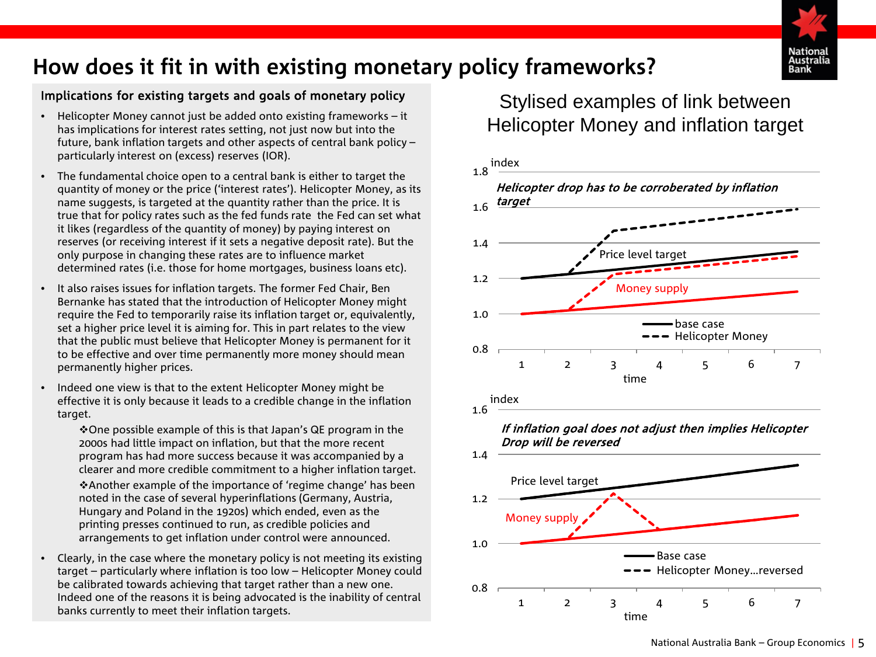

# **How does it fit in with existing monetary policy frameworks?**

### Implications for existing targets and goals of monetary policy

- Helicopter Money cannot just be added onto existing frameworks it has implications for interest rates setting, not just now but into the future, bank inflation targets and other aspects of central bank policy – particularly interest on (excess) reserves (IOR).
- The fundamental choice open to a central bank is either to target the quantity of money or the price ('interest rates'). Helicopter Money, as its name suggests, is targeted at the quantity rather than the price. It is true that for policy rates such as the fed funds rate the Fed can set what it likes (regardless of the quantity of money) by paying interest on reserves (or receiving interest if it sets a negative deposit rate). But the only purpose in changing these rates are to influence market determined rates (i.e. those for home mortgages, business loans etc).
- It also raises issues for inflation targets. The former Fed Chair, Ben Bernanke has stated that the introduction of Helicopter Money might require the Fed to temporarily raise its inflation target or, equivalently, set a higher price level it is aiming for. This in part relates to the view that the public must believe that Helicopter Money is permanent for it to be effective and over time permanently more money should mean permanently higher prices.
- Indeed one view is that to the extent Helicopter Money might be effective it is only because it leads to a credible change in the inflation target.

One possible example of this is that Japan's QE program in the 2000s had little impact on inflation, but that the more recent program has had more success because it was accompanied by a clearer and more credible commitment to a higher inflation target.

Another example of the importance of 'regime change' has been noted in the case of several hyperinflations (Germany, Austria, Hungary and Poland in the 1920s) which ended, even as the printing presses continued to run, as credible policies and arrangements to get inflation under control were announced.

• Clearly, in the case where the monetary policy is not meeting its existing target – particularly where inflation is too low – Helicopter Money could be calibrated towards achieving that target rather than a new one. Indeed one of the reasons it is being advocated is the inability of central banks currently to meet their inflation targets.

# Stylised examples of link between Helicopter Money and inflation target

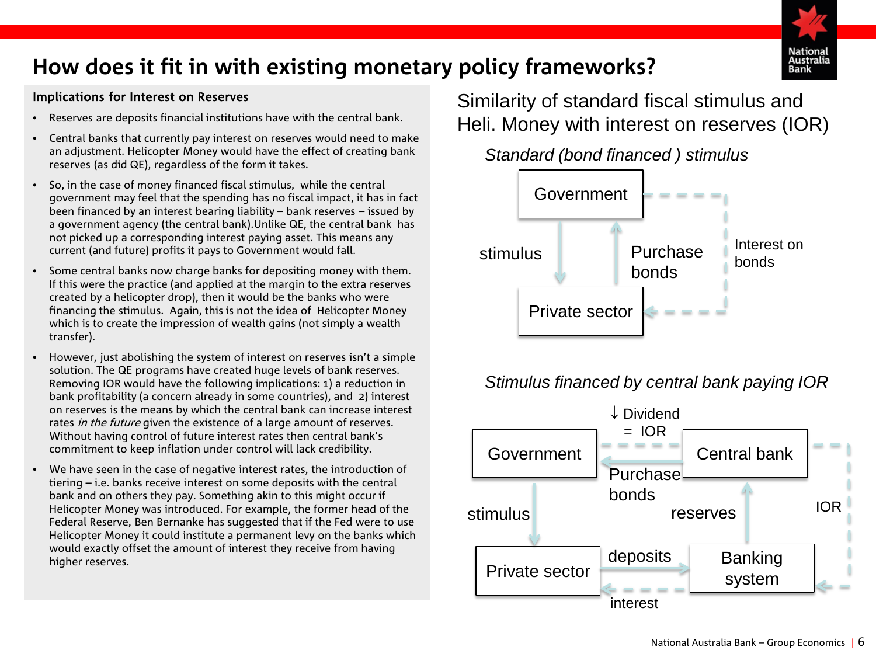

# <span id="page-5-0"></span>**How does it fit in with existing monetary policy frameworks?**

### Implications for Interest on Reserves

- Reserves are deposits financial institutions have with the central bank.
- Central banks that currently pay interest on reserves would need to make an adjustment. Helicopter Money would have the effect of creating bank reserves (as did QE), regardless of the form it takes.
- So, in the case of money financed fiscal stimulus, while the central government may feel that the spending has no fiscal impact, it has in fact been financed by an interest bearing liability – bank reserves – issued by a government agency (the central bank).Unlike QE, the central bank has not picked up a corresponding interest paying asset. This means any current (and future) profits it pays to Government would fall.
- Some central banks now charge banks for depositing money with them. If this were the practice (and applied at the margin to the extra reserves created by a helicopter drop), then it would be the banks who were financing the stimulus. Again, this is not the idea of Helicopter Money which is to create the impression of wealth gains (not simply a wealth transfer).
- However, just abolishing the system of interest on reserves isn't a simple solution. The QE programs have created huge levels of bank reserves. Removing IOR would have the following implications: 1) a reduction in bank profitability (a concern already in some countries), and 2) interest on reserves is the means by which the central bank can increase interest rates in the future given the existence of a large amount of reserves. Without having control of future interest rates then central bank's commitment to keep inflation under control will lack credibility.
- We have seen in the case of negative interest rates, the introduction of tiering – i.e. banks receive interest on some deposits with the central bank and on others they pay. Something akin to this might occur if Helicopter Money was introduced. For example, the former head of the Federal Reserve, Ben Bernanke has suggested that if the Fed were to use Helicopter Money it could institute a permanent levy on the banks which would exactly offset the amount of interest they receive from having higher reserves.

Similarity of standard fiscal stimulus and Heli. Money with interest on reserves (IOR)





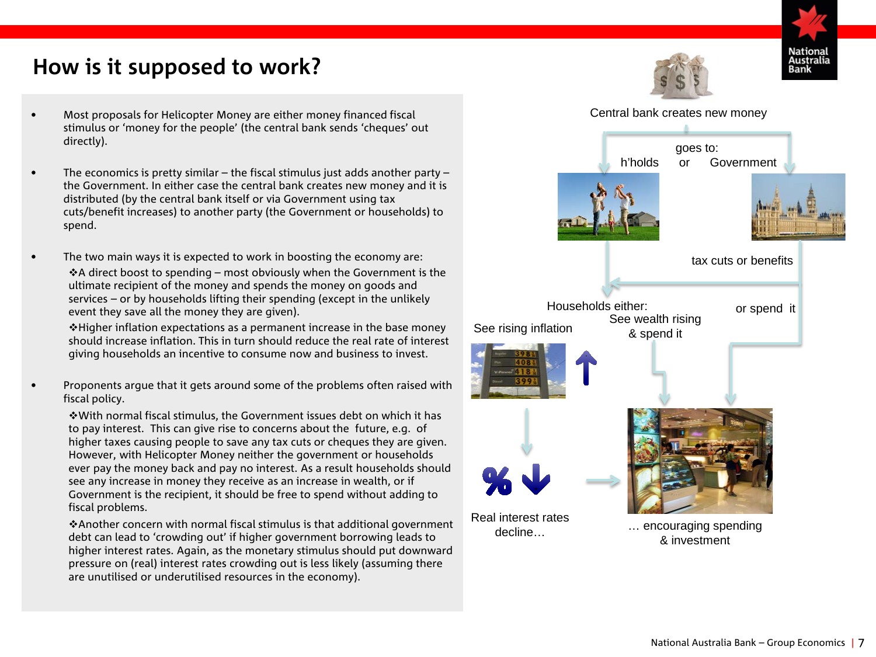# <span id="page-6-0"></span>**How is it supposed to work?**

- Most proposals for Helicopter Money are either money financed fiscal stimulus or 'money for the people' (the central bank sends 'cheques' out directly).
- The economics is pretty similar the fiscal stimulus just adds another party the Government. In either case the central bank creates new money and it is distributed (by the central bank itself or via Government using tax cuts/benefit increases) to another party (the Government or households) to spend.
- The two main ways it is expected to work in boosting the economy are:  $\triangle$ A direct boost to spending – most obviously when the Government is the ultimate recipient of the money and spends the money on goods and services – or by households lifting their spending (except in the unlikely event they save all the money they are given).

 $\cdot$  Higher inflation expectations as a permanent increase in the base money should increase inflation. This in turn should reduce the real rate of interest giving households an incentive to consume now and business to invest.

• Proponents argue that it gets around some of the problems often raised with fiscal policy.

With normal fiscal stimulus, the Government issues debt on which it has to pay interest. This can give rise to concerns about the future, e.g. of higher taxes causing people to save any tax cuts or cheques they are given. However, with Helicopter Money neither the government or households ever pay the money back and pay no interest. As a result households should see any increase in money they receive as an increase in wealth, or if Government is the recipient, it should be free to spend without adding to fiscal problems.

Another concern with normal fiscal stimulus is that additional government debt can lead to 'crowding out' if higher government borrowing leads to higher interest rates. Again, as the monetary stimulus should put downward pressure on (real) interest rates crowding out is less likely (assuming there are unutilised or underutilised resources in the economy).







National Australia Bank – Group Economics | 7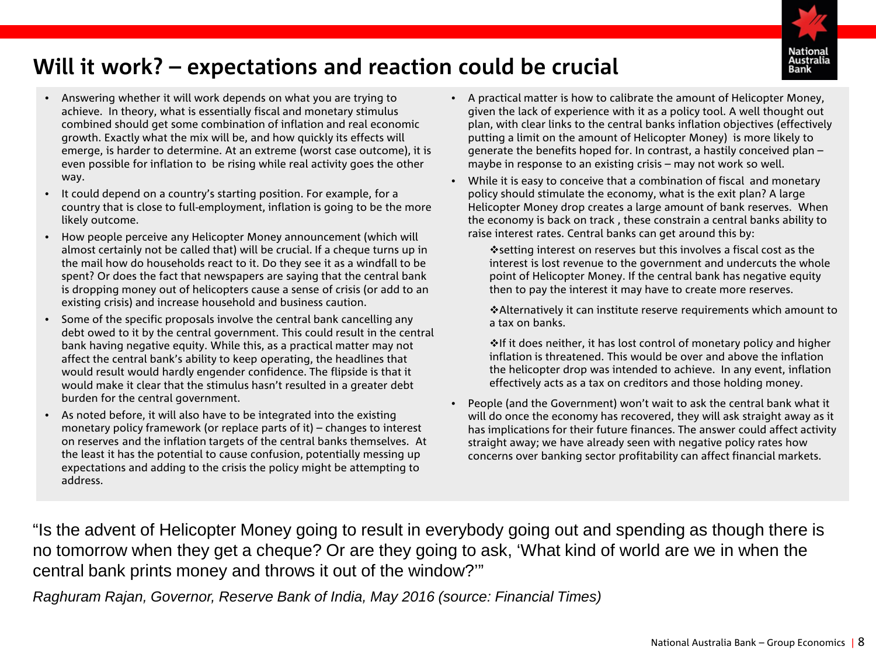

# <span id="page-7-0"></span>**Will it work? – expectations and reaction could be crucial**

- Answering whether it will work depends on what you are trying to achieve. In theory, what is essentially fiscal and monetary stimulus combined should get some combination of inflation and real economic growth. Exactly what the mix will be, and how quickly its effects will emerge, is harder to determine. At an extreme (worst case outcome), it is even possible for inflation to be rising while real activity goes the other way.
- It could depend on a country's starting position. For example, for a country that is close to full-employment, inflation is going to be the more likely outcome.
- How people perceive any Helicopter Money announcement (which will almost certainly not be called that) will be crucial. If a cheque turns up in the mail how do households react to it. Do they see it as a windfall to be spent? Or does the fact that newspapers are saying that the central bank is dropping money out of helicopters cause a sense of crisis (or add to an existing crisis) and increase household and business caution.
- Some of the specific proposals involve the central bank cancelling any debt owed to it by the central government. This could result in the central bank having negative equity. While this, as a practical matter may not affect the central bank's ability to keep operating, the headlines that would result would hardly engender confidence. The flipside is that it would make it clear that the stimulus hasn't resulted in a greater debt burden for the central government.
- As noted before, it will also have to be integrated into the existing monetary policy framework (or replace parts of it) – changes to interest on reserves and the inflation targets of the central banks themselves. At the least it has the potential to cause confusion, potentially messing up expectations and adding to the crisis the policy might be attempting to address.
- A practical matter is how to calibrate the amount of Helicopter Money, given the lack of experience with it as a policy tool. A well thought out plan, with clear links to the central banks inflation objectives (effectively putting a limit on the amount of Helicopter Money) is more likely to generate the benefits hoped for. In contrast, a hastily conceived plan – maybe in response to an existing crisis – may not work so well.
- While it is easy to conceive that a combination of fiscal and monetary policy should stimulate the economy, what is the exit plan? A large Helicopter Money drop creates a large amount of bank reserves. When the economy is back on track , these constrain a central banks ability to raise interest rates. Central banks can get around this by:

setting interest on reserves but this involves a fiscal cost as the interest is lost revenue to the government and undercuts the whole point of Helicopter Money. If the central bank has negative equity then to pay the interest it may have to create more reserves.

Alternatively it can institute reserve requirements which amount to a tax on banks.

 $\cdot$  If it does neither, it has lost control of monetary policy and higher inflation is threatened. This would be over and above the inflation the helicopter drop was intended to achieve. In any event, inflation effectively acts as a tax on creditors and those holding money.

• People (and the Government) won't wait to ask the central bank what it will do once the economy has recovered, they will ask straight away as it has implications for their future finances. The answer could affect activity straight away; we have already seen with negative policy rates how concerns over banking sector profitability can affect financial markets.

"Is the advent of Helicopter Money going to result in everybody going out and spending as though there is no tomorrow when they get a cheque? Or are they going to ask, 'What kind of world are we in when the central bank prints money and throws it out of the window?'"

*Raghuram Rajan, Governor, Reserve Bank of India, May 2016 (source: Financial Times)*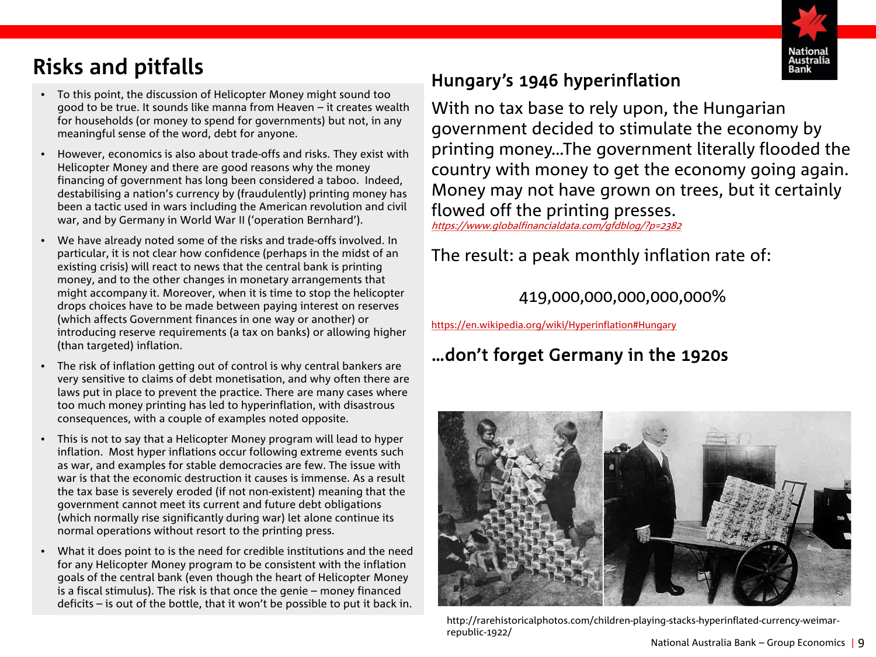

# <span id="page-8-0"></span>**Risks and pitfalls**

- To this point, the discussion of Helicopter Money might sound too good to be true. It sounds like manna from Heaven – it creates wealth for households (or money to spend for governments) but not, in any meaningful sense of the word, debt for anyone.
- However, economics is also about trade-offs and risks. They exist with Helicopter Money and there are good reasons why the money financing of government has long been considered a taboo. Indeed, destabilising a nation's currency by (fraudulently) printing money has been a tactic used in wars including the American revolution and civil war, and by Germany in World War II ('operation Bernhard').
- We have already noted some of the risks and trade-offs involved. In particular, it is not clear how confidence (perhaps in the midst of an existing crisis) will react to news that the central bank is printing money, and to the other changes in monetary arrangements that might accompany it. Moreover, when it is time to stop the helicopter drops choices have to be made between paying interest on reserves (which affects Government finances in one way or another) or introducing reserve requirements (a tax on banks) or allowing higher (than targeted) inflation.
- The risk of inflation getting out of control is why central bankers are very sensitive to claims of debt monetisation, and why often there are laws put in place to prevent the practice. There are many cases where too much money printing has led to hyperinflation, with disastrous consequences, with a couple of examples noted opposite.
- This is not to say that a Helicopter Money program will lead to hyper inflation. Most hyper inflations occur following extreme events such as war, and examples for stable democracies are few. The issue with war is that the economic destruction it causes is immense. As a result the tax base is severely eroded (if not non-existent) meaning that the government cannot meet its current and future debt obligations (which normally rise significantly during war) let alone continue its normal operations without resort to the printing press.
- What it does point to is the need for credible institutions and the need for any Helicopter Money program to be consistent with the inflation goals of the central bank (even though the heart of Helicopter Money is a fiscal stimulus). The risk is that once the genie – money financed deficits – is out of the bottle, that it won't be possible to put it back in.

# Hungary's 1946 hyperinflation

With no tax base to rely upon, the Hungarian government decided to stimulate the economy by printing money…The government literally flooded the country with money to get the economy going again. Money may not have grown on trees, but it certainly flowed off the printing presses.

<https://www.globalfinancialdata.com/gfdblog/?p=2382>

The result: a peak monthly inflation rate of:

419,000,000,000,000,000%

[https://en.wikipedia.org/wiki/Hyperinflation#Hungary](https://en.wikipedia.org/wiki/Hyperinflation)

# …don't forget Germany in the 1920s



http://rarehistoricalphotos.com/children-playing-stacks-hyperinflated-currency-weimarrepublic-1922/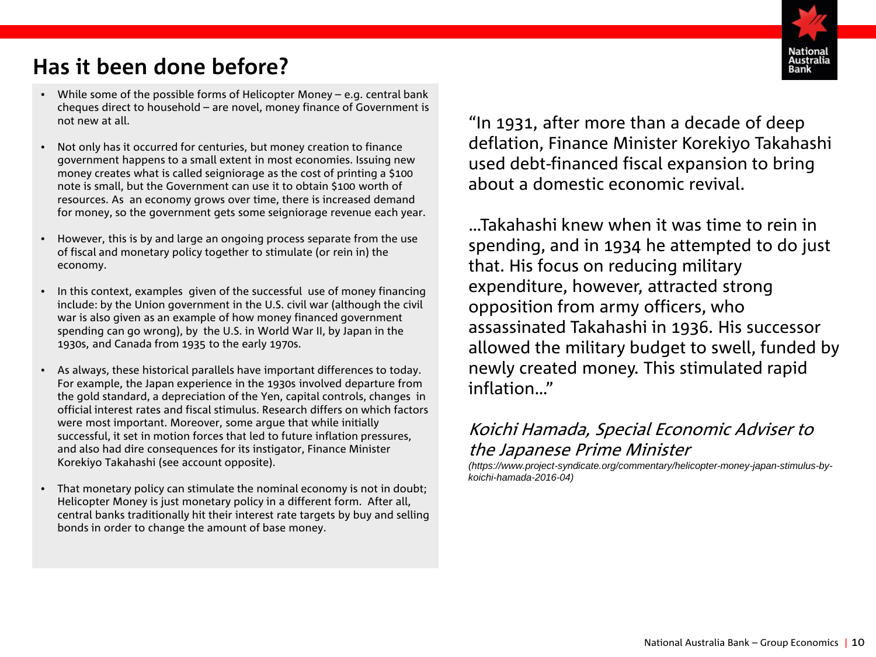# <span id="page-9-0"></span>**Has it been done before?**

- While some of the possible forms of Helicopter Money e.g. central bank cheques direct to household – are novel, money finance of Government is not new at all.
- Not only has it occurred for centuries, but money creation to finance government happens to a small extent in most economies. Issuing new money creates what is called seigniorage as the cost of printing a \$100 note is small, but the Government can use it to obtain \$100 worth of resources. As an economy grows over time, there is increased demand for money, so the government gets some seigniorage revenue each year.
- However, this is by and large an ongoing process separate from the use of fiscal and monetary policy together to stimulate (or rein in) the economy.
- In this context, examples given of the successful use of money financing include: by the Union government in the U.S. civil war (although the civil war is also given as an example of how money financed government spending can go wrong), by the U.S. in World War II, by Japan in the 1930s, and Canada from 1935 to the early 1970s.
- As always, these historical parallels have important differences to today. For example, the Japan experience in the 1930s involved departure from the gold standard, a depreciation of the Yen, capital controls, changes in official interest rates and fiscal stimulus. Research differs on which factors were most important. Moreover, some argue that while initially successful, it set in motion forces that led to future inflation pressures, and also had dire consequences for its instigator, Finance Minister Korekiyo Takahashi (see account opposite).
- That monetary policy can stimulate the nominal economy is not in doubt; Helicopter Money is just monetary policy in a different form. After all, central banks traditionally hit their interest rate targets by buy and selling bonds in order to change the amount of base money.

"In 1931, after more than a decade of deep deflation, Finance Minister Korekiyo Takahashi used debt-financed fiscal expansion to bring about a domestic economic revival.

…Takahashi knew when it was time to rein in spending, and in 1934 he attempted to do just that. His focus on reducing military expenditure, however, attracted strong opposition from army officers, who assassinated Takahashi in 1936. His successor allowed the military budget to swell, funded by newly created money. This stimulated rapid inflation…"

# Koichi Hamada, Special Economic Adviser to the Japanese Prime Minister

*(https://www.project-syndicate.org/commentary/helicopter-money-japan-stimulus-bykoichi-hamada-2016-04)*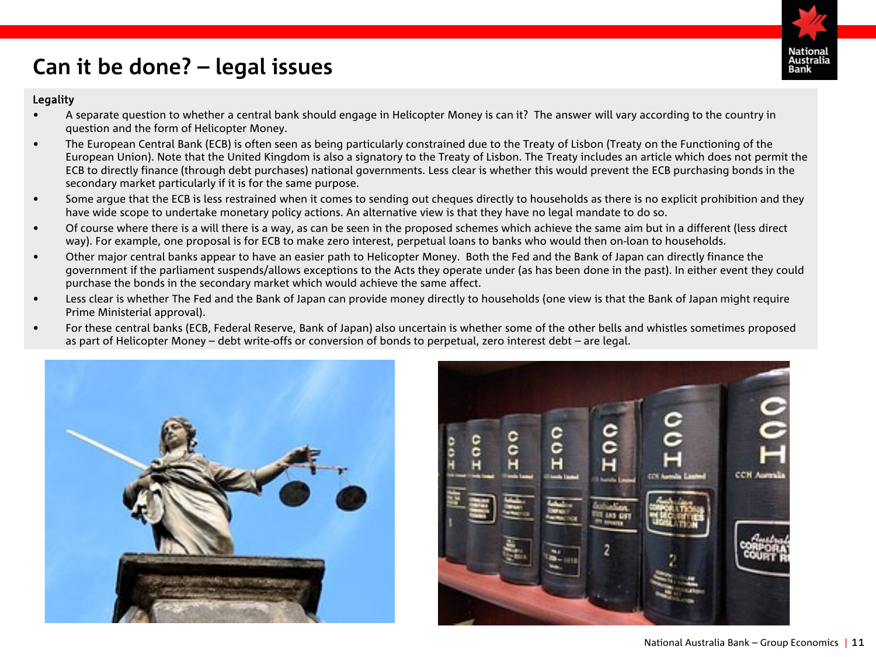

# <span id="page-10-0"></span>**Can it be done? – legal issues**

#### Legality

- A separate question to whether a central bank should engage in Helicopter Money is can it? The answer will vary according to the country in question and the form of Helicopter Money.
- The European Central Bank (ECB) is often seen as being particularly constrained due to the Treaty of Lisbon (Treaty on the Functioning of the European Union). Note that the United Kingdom is also a signatory to the Treaty of Lisbon. The Treaty includes an article which does not permit the ECB to directly finance (through debt purchases) national governments. Less clear is whether this would prevent the ECB purchasing bonds in the secondary market particularly if it is for the same purpose.
- Some argue that the ECB is less restrained when it comes to sending out cheques directly to households as there is no explicit prohibition and they have wide scope to undertake monetary policy actions. An alternative view is that they have no legal mandate to do so.
- Of course where there is a will there is a way, as can be seen in the proposed schemes which achieve the same aim but in a different (less direct way). For example, one proposal is for ECB to make zero interest, perpetual loans to banks who would then on-loan to households.
- Other major central banks appear to have an easier path to Helicopter Money. Both the Fed and the Bank of Japan can directly finance the government if the parliament suspends/allows exceptions to the Acts they operate under (as has been done in the past). In either event they could purchase the bonds in the secondary market which would achieve the same affect.
- Less clear is whether The Fed and the Bank of Japan can provide money directly to households (one view is that the Bank of Japan might require Prime Ministerial approval).
- For these central banks (ECB, Federal Reserve, Bank of Japan) also uncertain is whether some of the other bells and whistles sometimes proposed as part of Helicopter Money – debt write-offs or conversion of bonds to perpetual, zero interest debt – are legal.



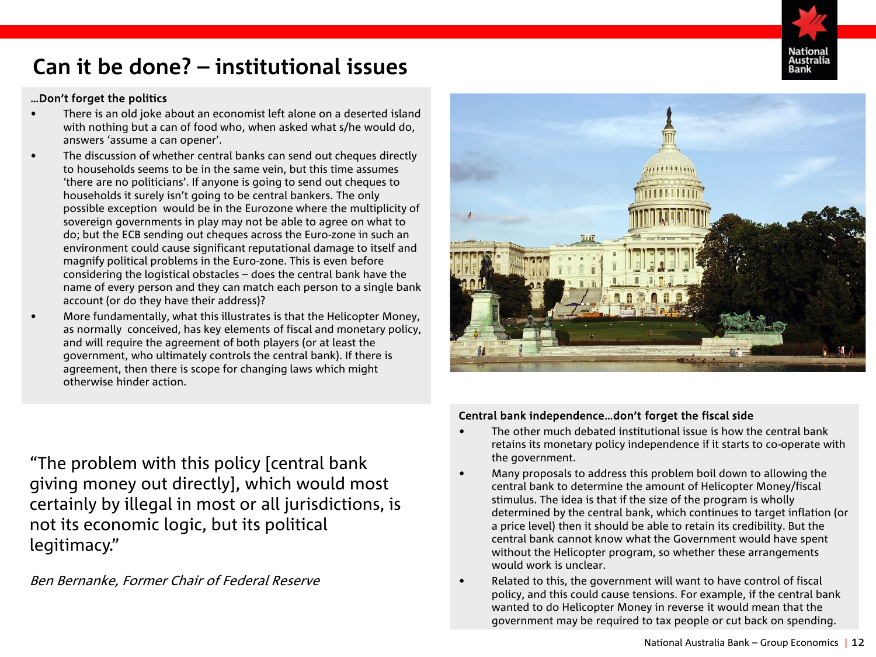

# **Can it be done? – institutional issues**

### …Don't forget the politics

- There is an old joke about an economist left alone on a deserted island with nothing but a can of food who, when asked what s/he would do, answers 'assume a can opener'.
- The discussion of whether central banks can send out cheques directly to households seems to be in the same vein, but this time assumes 'there are no politicians'. If anyone is going to send out cheques to households it surely isn't going to be central bankers. The only possible exception would be in the Eurozone where the multiplicity of sovereign governments in play may not be able to agree on what to do; but the ECB sending out cheques across the Euro-zone in such an environment could cause significant reputational damage to itself and magnify political problems in the Euro-zone. This is even before considering the logistical obstacles – does the central bank have the name of every person and they can match each person to a single bank account (or do they have their address)?
- More fundamentally, what this illustrates is that the Helicopter Money, as normally conceived, has key elements of fiscal and monetary policy, and will require the agreement of both players (or at least the government, who ultimately controls the central bank). If there is agreement, then there is scope for changing laws which might otherwise hinder action.



# "The problem with this policy [central bank giving money out directly], which would most certainly by illegal in most or all jurisdictions, is not its economic logic, but its political legitimacy."

### Ben Bernanke, Former Chair of Federal Reserve

### Central bank independence…don't forget the fiscal side

- The other much debated institutional issue is how the central bank retains its monetary policy independence if it starts to co-operate with the government.
- Many proposals to address this problem boil down to allowing the central bank to determine the amount of Helicopter Money/fiscal stimulus. The idea is that if the size of the program is wholly determined by the central bank, which continues to target inflation (or a price level) then it should be able to retain its credibility. But the central bank cannot know what the Government would have spent without the Helicopter program, so whether these arrangements would work is unclear.
- Related to this, the government will want to have control of fiscal policy, and this could cause tensions. For example, if the central bank wanted to do Helicopter Money in reverse it would mean that the government may be required to tax people or cut back on spending.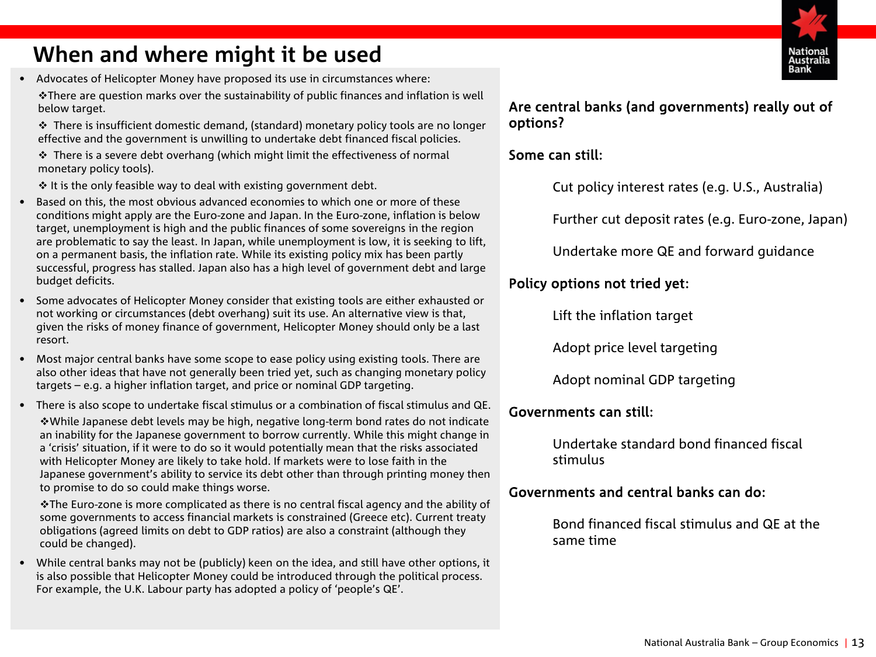# <span id="page-12-0"></span>**When and where might it be used**

• Advocates of Helicopter Money have proposed its use in circumstances where:

There are question marks over the sustainability of public finances and inflation is well below target.

 $\div$  There is insufficient domestic demand, (standard) monetary policy tools are no longer effective and the government is unwilling to undertake debt financed fiscal policies.

 $\cdot \cdot$  There is a severe debt overhang (which might limit the effectiveness of normal monetary policy tools).

 $\cdot$  It is the only feasible way to deal with existing government debt.

- Based on this, the most obvious advanced economies to which one or more of these conditions might apply are the Euro-zone and Japan. In the Euro-zone, inflation is below target, unemployment is high and the public finances of some sovereigns in the region are problematic to say the least. In Japan, while unemployment is low, it is seeking to lift, on a permanent basis, the inflation rate. While its existing policy mix has been partly successful, progress has stalled. Japan also has a high level of government debt and large budget deficits.
- Some advocates of Helicopter Money consider that existing tools are either exhausted or not working or circumstances (debt overhang) suit its use. An alternative view is that, given the risks of money finance of government, Helicopter Money should only be a last resort.
- Most major central banks have some scope to ease policy using existing tools. There are also other ideas that have not generally been tried yet, such as changing monetary policy targets – e.g. a higher inflation target, and price or nominal GDP targeting.
- There is also scope to undertake fiscal stimulus or a combination of fiscal stimulus and QE. While Japanese debt levels may be high, negative long-term bond rates do not indicate an inability for the Japanese government to borrow currently. While this might change in a 'crisis' situation, if it were to do so it would potentially mean that the risks associated with Helicopter Money are likely to take hold. If markets were to lose faith in the Japanese government's ability to service its debt other than through printing money then to promise to do so could make things worse.

The Euro-zone is more complicated as there is no central fiscal agency and the ability of some governments to access financial markets is constrained (Greece etc). Current treaty obligations (agreed limits on debt to GDP ratios) are also a constraint (although they could be changed).

• While central banks may not be (publicly) keen on the idea, and still have other options, it is also possible that Helicopter Money could be introduced through the political process. For example, the U.K. Labour party has adopted a policy of 'people's QE'.

### Are central banks (and governments) really out of options?

### Some can still:

Cut policy interest rates (e.g. U.S., Australia)

Further cut deposit rates (e.g. Euro-zone, Japan)

Undertake more QE and forward guidance

## Policy options not tried yet:

Lift the inflation target

Adopt price level targeting

Adopt nominal GDP targeting

### Governments can still:

Undertake standard bond financed fiscal stimulus

### Governments and central banks can do:

Bond financed fiscal stimulus and QE at the same time